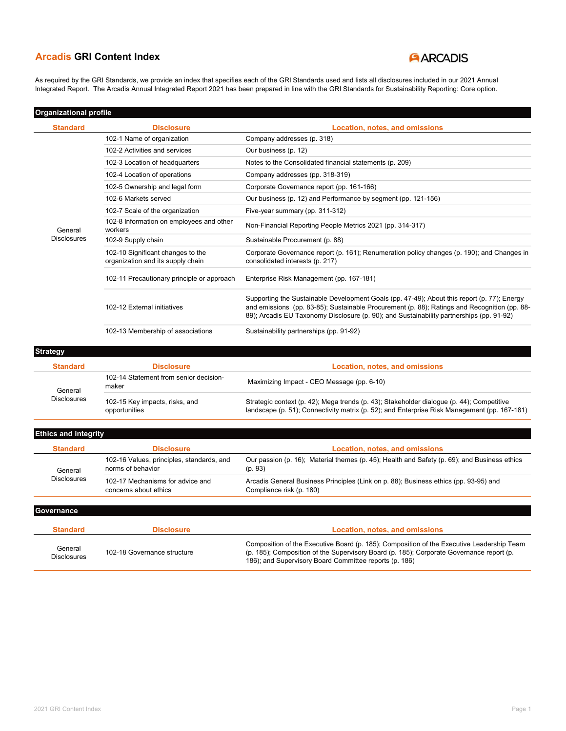## **ARCADIS**

As required by the GRI Standards, we provide an index that specifies each of the GRI Standards used and lists all disclosures included in our 2021 Annual Integrated Report. The Arcadis Annual Integrated Report 2021 has been prepared in line with the GRI Standards for Sustainability Reporting: Core option.

### Organizational profile

| <b>Standard</b>    | <b>Disclosure</b>                                                      | Location, notes, and omissions                                                                                                                                                                                                                                                          |
|--------------------|------------------------------------------------------------------------|-----------------------------------------------------------------------------------------------------------------------------------------------------------------------------------------------------------------------------------------------------------------------------------------|
|                    | 102-1 Name of organization                                             | Company addresses (p. 318)                                                                                                                                                                                                                                                              |
|                    | 102-2 Activities and services                                          | Our business (p. 12)                                                                                                                                                                                                                                                                    |
|                    | 102-3 Location of headquarters                                         | Notes to the Consolidated financial statements (p. 209)                                                                                                                                                                                                                                 |
|                    | 102-4 Location of operations                                           | Company addresses (pp. 318-319)                                                                                                                                                                                                                                                         |
|                    | 102-5 Ownership and legal form                                         | Corporate Governance report (pp. 161-166)                                                                                                                                                                                                                                               |
|                    | 102-6 Markets served                                                   | Our business (p. 12) and Performance by segment (pp. 121-156)                                                                                                                                                                                                                           |
|                    | 102-7 Scale of the organization                                        | Five-year summary (pp. 311-312)                                                                                                                                                                                                                                                         |
| General            | 102-8 Information on employees and other<br>workers                    | Non-Financial Reporting People Metrics 2021 (pp. 314-317)                                                                                                                                                                                                                               |
| <b>Disclosures</b> | 102-9 Supply chain                                                     | Sustainable Procurement (p. 88)                                                                                                                                                                                                                                                         |
|                    | 102-10 Significant changes to the<br>organization and its supply chain | Corporate Governance report (p. 161); Renumeration policy changes (p. 190); and Changes in<br>consolidated interests (p. 217)                                                                                                                                                           |
|                    | 102-11 Precautionary principle or approach                             | Enterprise Risk Management (pp. 167-181)                                                                                                                                                                                                                                                |
|                    | 102-12 External initiatives                                            | Supporting the Sustainable Development Goals (pp. 47-49); About this report (p. 77); Energy<br>and emissions (pp. 83-85); Sustainable Procurement (p. 88); Ratings and Recognition (pp. 88-<br>89); Arcadis EU Taxonomy Disclosure (p. 90); and Sustainability partnerships (pp. 91-92) |
|                    | 102-13 Membership of associations                                      | Sustainability partnerships (pp. 91-92)                                                                                                                                                                                                                                                 |
|                    |                                                                        |                                                                                                                                                                                                                                                                                         |

**Strategy** 

| <b>Standard</b>    | <b>Disclosure</b>                               | Location, notes, and omissions                                                                                                                                                            |
|--------------------|-------------------------------------------------|-------------------------------------------------------------------------------------------------------------------------------------------------------------------------------------------|
| General            | 102-14 Statement from senior decision-<br>maker | Maximizing Impact - CEO Message (pp. 6-10)                                                                                                                                                |
| <b>Disclosures</b> | 102-15 Key impacts, risks, and<br>opportunities | Strategic context (p. 42); Mega trends (p. 43); Stakeholder dialogue (p. 44); Competitive<br>landscape (p. 51); Connectivity matrix (p. 52); and Enterprise Risk Management (pp. 167-181) |

### Ethics and integrity

| <b>Standard</b>    | <b>Disclosure</b>                                              | Location, notes, and omissions                                                                                   |
|--------------------|----------------------------------------------------------------|------------------------------------------------------------------------------------------------------------------|
| General            | 102-16 Values, principles, standards, and<br>norms of behavior | Our passion (p. 16); Material themes (p. 45); Health and Safety (p. 69); and Business ethics<br>(p. 93)          |
| <b>Disclosures</b> | 102-17 Mechanisms for advice and<br>concerns about ethics      | Arcadis General Business Principles (Link on p. 88); Business ethics (pp. 93-95) and<br>Compliance risk (p. 180) |

### **Governance**

| Standard               | <b>Disclosure</b>           | Location, notes, and omissions                                                                                                                                                                                                                  |
|------------------------|-----------------------------|-------------------------------------------------------------------------------------------------------------------------------------------------------------------------------------------------------------------------------------------------|
| General<br>Disclosures | 102-18 Governance structure | Composition of the Executive Board (p. 185); Composition of the Executive Leadership Team<br>(p. 185); Composition of the Supervisory Board (p. 185); Corporate Governance report (p.<br>186); and Supervisory Board Committee reports (p. 186) |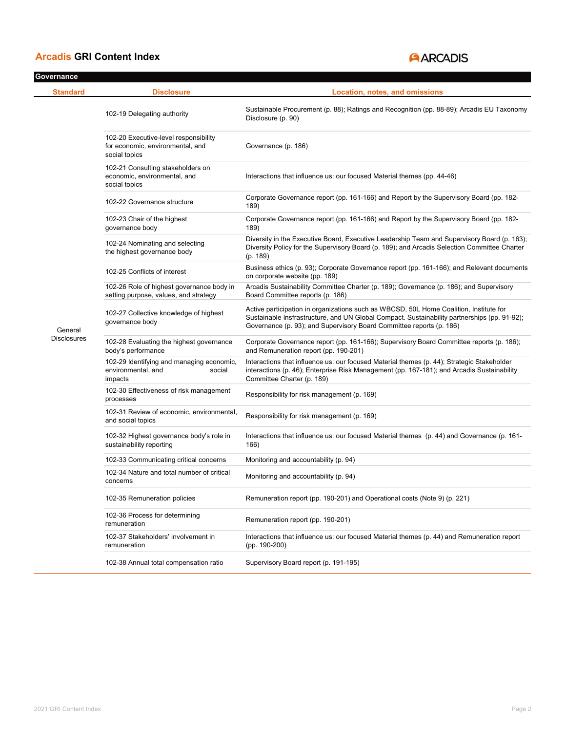# **ARCADIS**

| Governance         |                                                                                            |                                                                                                                                                                                                                                                                |
|--------------------|--------------------------------------------------------------------------------------------|----------------------------------------------------------------------------------------------------------------------------------------------------------------------------------------------------------------------------------------------------------------|
| <b>Standard</b>    | <b>Disclosure</b>                                                                          | Location, notes, and omissions                                                                                                                                                                                                                                 |
|                    | 102-19 Delegating authority                                                                | Sustainable Procurement (p. 88); Ratings and Recognition (pp. 88-89); Arcadis EU Taxonomy<br>Disclosure (p. 90)                                                                                                                                                |
|                    | 102-20 Executive-level responsibility<br>for economic, environmental, and<br>social topics | Governance (p. 186)                                                                                                                                                                                                                                            |
|                    | 102-21 Consulting stakeholders on<br>economic, environmental, and<br>social topics         | Interactions that influence us: our focused Material themes (pp. 44-46)                                                                                                                                                                                        |
|                    | 102-22 Governance structure                                                                | Corporate Governance report (pp. 161-166) and Report by the Supervisory Board (pp. 182-<br>189)                                                                                                                                                                |
|                    | 102-23 Chair of the highest<br>governance body                                             | Corporate Governance report (pp. 161-166) and Report by the Supervisory Board (pp. 182-<br>189)                                                                                                                                                                |
|                    | 102-24 Nominating and selecting<br>the highest governance body                             | Diversity in the Executive Board, Executive Leadership Team and Supervisory Board (p. 163);<br>Diversity Policy for the Supervisory Board (p. 189); and Arcadis Selection Committee Charter<br>(p. 189)                                                        |
|                    | 102-25 Conflicts of interest                                                               | Business ethics (p. 93); Corporate Governance report (pp. 161-166); and Relevant documents<br>on corporate website (pp. 189)                                                                                                                                   |
|                    | 102-26 Role of highest governance body in<br>setting purpose, values, and strategy         | Arcadis Sustainability Committee Charter (p. 189); Governance (p. 186); and Supervisory<br>Board Committee reports (p. 186)                                                                                                                                    |
| General            | 102-27 Collective knowledge of highest<br>governance body                                  | Active participation in organizations such as WBCSD, 50L Home Coalition, Institute for<br>Sustainable Insfrastructure, and UN Global Compact. Sustainability partnerships (pp. 91-92);<br>Governance (p. 93); and Supervisory Board Committee reports (p. 186) |
| <b>Disclosures</b> | 102-28 Evaluating the highest governance<br>body's performance                             | Corporate Governance report (pp. 161-166); Supervisory Board Committee reports (p. 186);<br>and Remuneration report (pp. 190-201)                                                                                                                              |
|                    | 102-29 Identifying and managing economic,<br>environmental, and<br>social<br>impacts       | Interactions that influence us: our focused Material themes (p. 44); Strategic Stakeholder<br>interactions (p. 46); Enterprise Risk Management (pp. 167-181); and Arcadis Sustainability<br>Committee Charter (p. 189)                                         |
|                    | 102-30 Effectiveness of risk management<br>processes                                       | Responsibility for risk management (p. 169)                                                                                                                                                                                                                    |
|                    | 102-31 Review of economic, environmental,<br>and social topics                             | Responsibility for risk management (p. 169)                                                                                                                                                                                                                    |
|                    | 102-32 Highest governance body's role in<br>sustainability reporting                       | Interactions that influence us: our focused Material themes (p. 44) and Governance (p. 161-<br>166)                                                                                                                                                            |
|                    | 102-33 Communicating critical concerns                                                     | Monitoring and accountability (p. 94)                                                                                                                                                                                                                          |
|                    | 102-34 Nature and total number of critical<br>concerns                                     | Monitoring and accountability (p. 94)                                                                                                                                                                                                                          |
|                    | 102-35 Remuneration policies                                                               | Remuneration report (pp. 190-201) and Operational costs (Note 9) (p. 221)                                                                                                                                                                                      |
|                    | 102-36 Process for determining<br>remuneration                                             | Remuneration report (pp. 190-201)                                                                                                                                                                                                                              |
|                    | 102-37 Stakeholders' involvement in<br>remuneration                                        | Interactions that influence us: our focused Material themes (p. 44) and Remuneration report<br>$(pp. 190-200)$                                                                                                                                                 |
|                    | 102-38 Annual total compensation ratio                                                     | Supervisory Board report (p. 191-195)                                                                                                                                                                                                                          |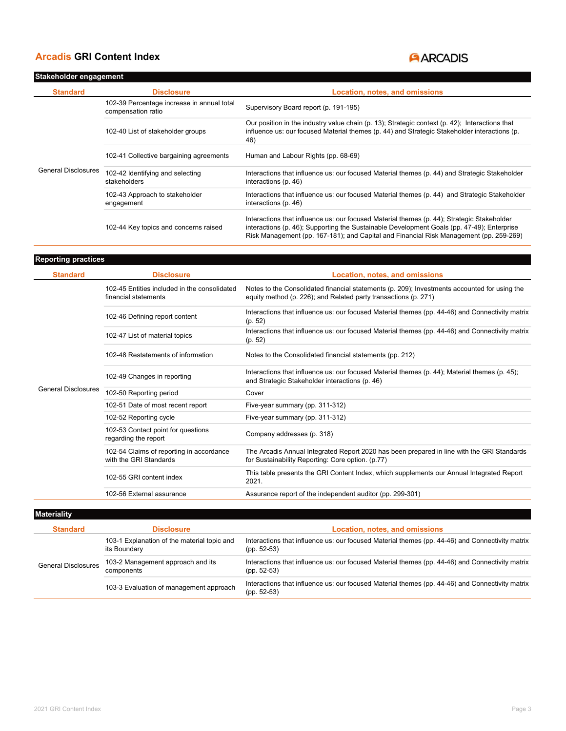### Stakeholder engagement

# **ARCADIS**

| <b>Standard</b>            | <b>Disclosure</b>                                                | Location, notes, and omissions                                                                                                                                                                                                                                                     |
|----------------------------|------------------------------------------------------------------|------------------------------------------------------------------------------------------------------------------------------------------------------------------------------------------------------------------------------------------------------------------------------------|
|                            | 102-39 Percentage increase in annual total<br>compensation ratio | Supervisory Board report (p. 191-195)                                                                                                                                                                                                                                              |
|                            | 102-40 List of stakeholder groups                                | Our position in the industry value chain (p. 13); Strategic context (p. 42); Interactions that<br>influence us: our focused Material themes (p. 44) and Strategic Stakeholder interactions (p.<br>46)                                                                              |
|                            | 102-41 Collective bargaining agreements                          | Human and Labour Rights (pp. 68-69)                                                                                                                                                                                                                                                |
| <b>General Disclosures</b> | 102-42 Identifying and selecting<br>stakeholders                 | Interactions that influence us: our focused Material themes (p. 44) and Strategic Stakeholder<br>interactions (p. 46)                                                                                                                                                              |
|                            | 102-43 Approach to stakeholder<br>engagement                     | Interactions that influence us: our focused Material themes (p. 44) and Strategic Stakeholder<br>interactions (p. 46)                                                                                                                                                              |
|                            | 102-44 Key topics and concerns raised                            | Interactions that influence us: our focused Material themes (p. 44); Strategic Stakeholder<br>interactions (p. 46); Supporting the Sustainable Development Goals (pp. 47-49); Enterprise<br>Risk Management (pp. 167-181); and Capital and Financial Risk Management (pp. 259-269) |

| <b>Reporting practices</b> |                                                                      |                                                                                                                                                                 |
|----------------------------|----------------------------------------------------------------------|-----------------------------------------------------------------------------------------------------------------------------------------------------------------|
| <b>Standard</b>            | <b>Disclosure</b>                                                    | Location, notes, and omissions                                                                                                                                  |
|                            | 102-45 Entities included in the consolidated<br>financial statements | Notes to the Consolidated financial statements (p. 209); Investments accounted for using the<br>equity method (p. 226); and Related party transactions (p. 271) |
|                            | 102-46 Defining report content                                       | Interactions that influence us: our focused Material themes (pp. 44-46) and Connectivity matrix<br>(p. 52)                                                      |
|                            | 102-47 List of material topics                                       | Interactions that influence us: our focused Material themes (pp. 44-46) and Connectivity matrix<br>(p. 52)                                                      |
|                            | 102-48 Restatements of information                                   | Notes to the Consolidated financial statements (pp. 212)                                                                                                        |
|                            | 102-49 Changes in reporting                                          | Interactions that influence us: our focused Material themes (p. 44); Material themes (p. 45);<br>and Strategic Stakeholder interactions (p. 46)                 |
| <b>General Disclosures</b> | 102-50 Reporting period                                              | Cover                                                                                                                                                           |
|                            | 102-51 Date of most recent report                                    | Five-year summary (pp. 311-312)                                                                                                                                 |
|                            | 102-52 Reporting cycle                                               | Five-year summary (pp. 311-312)                                                                                                                                 |
|                            | 102-53 Contact point for questions<br>regarding the report           | Company addresses (p. 318)                                                                                                                                      |
|                            | 102-54 Claims of reporting in accordance<br>with the GRI Standards   | The Arcadis Annual Integrated Report 2020 has been prepared in line with the GRI Standards<br>for Sustainability Reporting: Core option. (p.77)                 |
|                            | 102-55 GRI content index                                             | This table presents the GRI Content Index, which supplements our Annual Integrated Report<br>2021.                                                              |
|                            | 102-56 External assurance                                            | Assurance report of the independent auditor (pp. 299-301)                                                                                                       |

**Materiality** 

| <b>Standard</b>            | <b>Disclosure</b>                                           | Location, notes, and omissions                                                                                   |
|----------------------------|-------------------------------------------------------------|------------------------------------------------------------------------------------------------------------------|
| <b>General Disclosures</b> | 103-1 Explanation of the material topic and<br>its Boundary | Interactions that influence us: our focused Material themes (pp. 44-46) and Connectivity matrix<br>$(pp. 52-53)$ |
|                            | 103-2 Management approach and its<br>components             | Interactions that influence us: our focused Material themes (pp. 44-46) and Connectivity matrix<br>$(pp. 52-53)$ |
|                            | 103-3 Evaluation of management approach                     | Interactions that influence us: our focused Material themes (pp. 44-46) and Connectivity matrix<br>$(pp. 52-53)$ |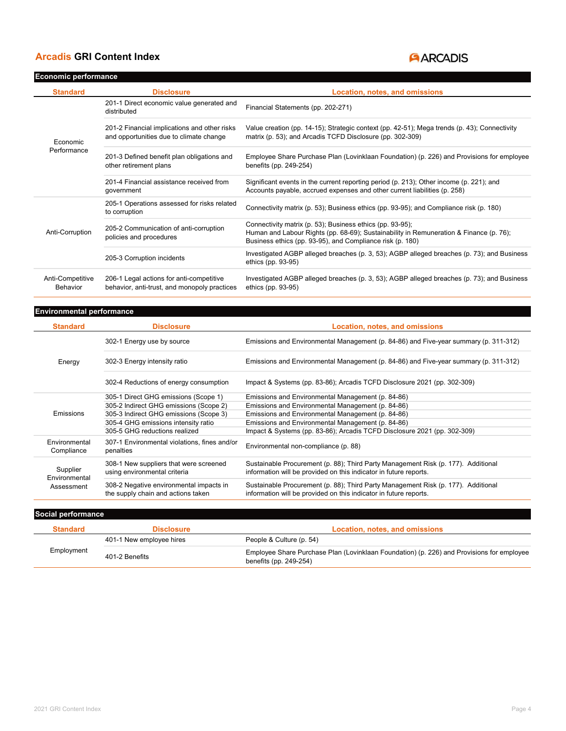# **ARCADIS**

| <b>Economic performance</b>  |                                                                                          |                                                                                                                                                                                                                  |
|------------------------------|------------------------------------------------------------------------------------------|------------------------------------------------------------------------------------------------------------------------------------------------------------------------------------------------------------------|
| <b>Standard</b>              | <b>Disclosure</b>                                                                        | Location, notes, and omissions                                                                                                                                                                                   |
|                              | 201-1 Direct economic value generated and<br>distributed                                 | Financial Statements (pp. 202-271)                                                                                                                                                                               |
| Economic                     | 201-2 Financial implications and other risks<br>and opportunities due to climate change  | Value creation (pp. 14-15); Strategic context (pp. 42-51); Mega trends (p. 43); Connectivity<br>matrix (p. 53); and Arcadis TCFD Disclosure (pp. 302-309)                                                        |
| Performance                  | 201-3 Defined benefit plan obligations and<br>other retirement plans                     | Employee Share Purchase Plan (Lovinklaan Foundation) (p. 226) and Provisions for employee<br>benefits (pp. 249-254)                                                                                              |
|                              | 201-4 Financial assistance received from<br>government                                   | Significant events in the current reporting period (p. 213); Other income (p. 221); and<br>Accounts payable, accrued expenses and other current liabilities (p. 258)                                             |
|                              | 205-1 Operations assessed for risks related<br>to corruption                             | Connectivity matrix (p. 53); Business ethics (pp. 93-95); and Compliance risk (p. 180)                                                                                                                           |
| Anti-Corruption              | 205-2 Communication of anti-corruption<br>policies and procedures                        | Connectivity matrix (p. 53); Business ethics (pp. 93-95);<br>Human and Labour Rights (pp. 68-69); Sustainability in Remuneration & Finance (p. 76);<br>Business ethics (pp. 93-95), and Compliance risk (p. 180) |
|                              | 205-3 Corruption incidents                                                               | Investigated AGBP alleged breaches (p. 3, 53); AGBP alleged breaches (p. 73); and Business<br>ethics (pp. 93-95)                                                                                                 |
| Anti-Competitive<br>Behavior | 206-1 Legal actions for anti-competitive<br>behavior, anti-trust, and monopoly practices | Investigated AGBP alleged breaches (p. 3, 53); AGBP alleged breaches (p. 73); and Business<br>ethics (pp. 93-95)                                                                                                 |

### Environmental performance

| <b>Standard</b>             | <b>Disclosure</b>                                                             | Location, notes, and omissions                                                                                                                         |
|-----------------------------|-------------------------------------------------------------------------------|--------------------------------------------------------------------------------------------------------------------------------------------------------|
|                             | 302-1 Energy use by source                                                    | Emissions and Environmental Management (p. 84-86) and Five-year summary (p. 311-312)                                                                   |
| Energy                      | 302-3 Energy intensity ratio                                                  | Emissions and Environmental Management (p. 84-86) and Five-year summary (p. 311-312)                                                                   |
|                             | 302-4 Reductions of energy consumption                                        | Impact & Systems (pp. 83-86); Arcadis TCFD Disclosure 2021 (pp. 302-309)                                                                               |
|                             | 305-1 Direct GHG emissions (Scope 1)                                          | Emissions and Environmental Management (p. 84-86)                                                                                                      |
|                             | 305-2 Indirect GHG emissions (Scope 2)                                        | Emissions and Environmental Management (p. 84-86)                                                                                                      |
| Emissions                   | 305-3 Indirect GHG emissions (Scope 3)                                        | Emissions and Environmental Management (p. 84-86)                                                                                                      |
|                             | 305-4 GHG emissions intensity ratio                                           | Emissions and Environmental Management (p. 84-86)                                                                                                      |
|                             | 305-5 GHG reductions realized                                                 | Impact & Systems (pp. 83-86); Arcadis TCFD Disclosure 2021 (pp. 302-309)                                                                               |
| Environmental<br>Compliance | 307-1 Environmental violations, fines and/or<br>penalties                     | Environmental non-compliance (p. 88)                                                                                                                   |
| Supplier<br>Environmental   | 308-1 New suppliers that were screened<br>using environmental criteria        | Sustainable Procurement (p. 88); Third Party Management Risk (p. 177). Additional<br>information will be provided on this indicator in future reports. |
| Assessment                  | 308-2 Negative environmental impacts in<br>the supply chain and actions taken | Sustainable Procurement (p. 88); Third Party Management Risk (p. 177). Additional<br>information will be provided on this indicator in future reports. |

| Social performance |                          |                                                                                                                     |
|--------------------|--------------------------|---------------------------------------------------------------------------------------------------------------------|
| <b>Standard</b>    | <b>Disclosure</b>        | Location, notes, and omissions                                                                                      |
| Employment         | 401-1 New employee hires | People & Culture (p. 54)                                                                                            |
|                    | 401-2 Benefits           | Employee Share Purchase Plan (Lovinklaan Foundation) (p. 226) and Provisions for employee<br>benefits (pp. 249-254) |